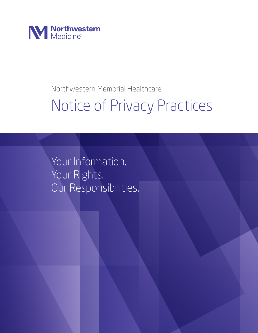

### Northwestern Memorial Healthcare

# Notice of Privacy Practices

Your Information. Your Rights. Our Responsibilities.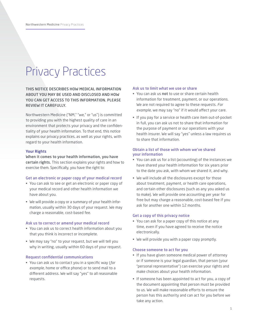## Privacy Practices

#### THIS NOTICE DESCRIBES HOW MEDICAL INFORMATION ABOUT YOU MAY BE USED AND DISCLOSED AND HOW YOU CAN GET ACCESS TO THIS INFORMATION. PLEASE REVIEW IT CAREFULLY.

Northwestern Medicine ("NM," "we," or "us") is committed to providing you with the highest quality of care in an environment that protects your privacy and the confidentiality of your health information. To that end, this notice explains our privacy practices, as well as your rights, with regard to your health information.

#### Your Rights

When it comes to your health information, you have certain rights. This section explains your rights and how to exercise them. Specifically, you have the right to:

#### Get an electronic or paper copy of your medical record

- You can ask to see or get an electronic or paper copy of your medical record and other health information we have about you.
- We will provide a copy or a summary of your health information, usually within 30 days of your request. We may charge a reasonable, cost-based fee.

#### Ask us to correct or amend your medical record

- You can ask us to correct health information about you that you think is incorrect or incomplete.
- We may say "no" to your request, but we will tell you why in writing, usually within 60 days of your request.

#### Request confidential communications

• You can ask us to contact you in a specific way (*for example*, home or office phone) or to send mail to a different address. We will say "yes" to all reasonable requests.

#### Ask us to limit what we use or share

- You can ask us not to use or share certain health information for treatment, payment, or our operations. We are not required to agree to these requests. *For example*, we may say "no" if it would affect your care.
- If you pay for a service or health care item out-of-pocket in full, you can ask us not to share that information for the purpose of payment or our operations with your health insurer. We will say "yes" unless a law requires us to share that information.

#### Obtain a list of those with whom we've shared your information

- You can ask us for a list (accounting) of the instances we have shared your health information for six years prior to the date you ask, with whom we shared it, and why.
- We will include all the disclosures except for those about treatment, payment, or health care operations, and certain other disclosures (such as any you asked us to make). We will provide one accounting per year for free but may charge a reasonable, cost-based fee if you ask for another one within 12 months.

#### Get a copy of this privacy notice

- You can ask for a paper copy of this notice at any time, even if you have agreed to receive the notice electronically.
- We will provide you with a paper copy promptly.

#### Choose someone to act for you

- If you have given someone medical power of attorney or if someone is your legal guardian, that person (your "personal representative") can exercise your rights and make choices about your health information.
- If someone has been appointed to act for you, a copy of the document appointing that person must be provided to us. We will make reasonable efforts to ensure the person has this authority and can act for you before we take any action.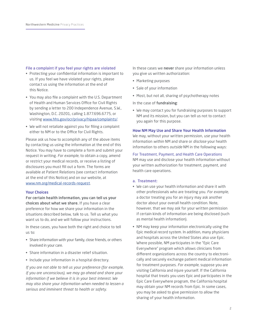#### File a complaint if you feel your rights are violated

- Protecting your confidential information is important to us. If you feel we have violated your rights, please contact us using the information at the end of this Notice.
- You may also file a complaint with the U.S. Department of Health and Human Services Office for Civil Rights by sending a letter to 200 Independence Avenue, S.W., Washington, D.C. 20201, calling 1.877.696.6775, or visiting www.hhs.gov/ocr/privacy/hipaa/complaints/.
- We will not retaliate against you for filing a complaint either to NM or to the Office for Civil Rights.

Please ask us how to accomplish any of the above items by contacting us using the information at the end of this Notice. You may have to complete a form and submit your request in writing. *For example*, to obtain a copy, amend or restrict your medical records, or receive a listing of disclosures you must fill out a form. The forms are available at Patient Relations (see contact information at the end of this Notice) and on our website, at www.nm.org/medical-records-request.

#### Your Choices

For certain health information, you can tell us your choices about what we share. If you have a clear preference for how we share your information in the situations described below, talk to us. Tell us what you want us to do, and we will follow your instructions.

In these cases, you have both the right and choice to tell us to:

- Share information with your family, close friends, or others involved in your care.
- Share information in a disaster relief situation.
- Include your information in a hospital directory.

*If you are not able to tell us your preference (for example, if you are unconscious), we may go ahead and share your information if we believe it is in your best interest. We may also share your information when needed to lessen a serious and imminent threat to health or safety.* 

In these cases we never share your information unless you give us written authorization:

- Marketing purposes
- Sale of your information
- Most, but not all, sharing of psychotherapy notes
- In the case of fundraising:
- We may contact you for fundraising purposes to support NM and its mission, but you can tell us not to contact you again for this purpose.

#### How NM May Use and Share Your Health Information

We may, without your written permission, *use* your health information *within* NM and share or *disclose* your health information to others *outside* NM in the following ways:

For Treatment, Payment, and Health Care Operations NM may use and disclose your health information without your written authorization for treatment, payment, and health care operations.

#### a. Treatment:

- We can use your health information and share it with other professionals who are treating you. *For example*, a doctor treating you for an injury may ask another doctor about your overall health condition. Note, however, that we may ask for your written permission if certain kinds of information are being disclosed (such as mental health information).
- NM may keep your information electronically using the Epic medical record system. In addition, many physicians and hospitals across the United States also use Epic. Where possible, NM participates in the "Epic Care Everywhere" program which allows clinicians from different organizations across the country to electronically and securely exchange patient medical information for treatment purposes. *For example*, suppose you are visiting California and injure yourself. If the California hospital that treats you uses Epic and participates in the Epic Care Everywhere program, the California hospital may obtain your NM records from Epic. In some cases, you may be asked to give permission to allow the sharing of your health information.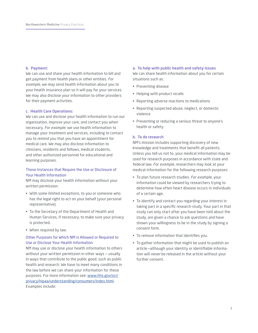#### b. Payment:

We can use and share your health information to bill and get payment from health plans or other entities. *For example*, we may send health information about you to your health insurance plan so it will pay for your services. We may also disclose your information to other providers for their payment activities.

#### c. Health Care Operations:

We can use and disclose your health information to run our organization, improve your care, and contact you when necessary. *For example*, we use health information to manage your treatment and services, including to contact you to remind you that you have an appointment for medical care. We may also disclose information to clinicians, residents and fellows, medical students, and other authorized personnel for educational and learning purposes.

#### Those Instances that Require the Use or Disclosure of Your Health Information

NM may disclose your health information without your written permission:

- With some limited exceptions, to you or someone who has the legal right to act on your behalf (your personal representative).
- To the Secretary of the Department of Health and Human Services, if necessary, to make sure your privacy is protected.
- When required by law.

#### Other Purposes for Which NM is Allowed or Required to Use or Disclose Your Health Information

NM may use or disclose your health information to others without your written permission in other ways — usually in ways that contribute to the public good, such as public health and research. We have to meet many conditions in the law before we can share your information for these purposes. For more information see: www.hhs.gov/ocr/ privacy/hipaa/understanding/consumers/index.html. Examples include:

#### a. To help with public health and safety issues

We can share health information about you for certain situations such as:

- Preventing disease
- Helping with product recalls
- Reporting adverse reactions to medications
- Reporting suspected abuse, neglect, or domestic violence
- Preventing or reducing a serious threat to anyone's health or safety

#### b. To do research

NM's mission includes supporting discovery of new knowledge and treatments that benefit all patients. Unless you tell us not to, your medical information may be used for research purposes in accordance with state and federal law. *For example*, researchers may look at your medical information for the following research purposes:

- To plan future research studies. *For example*, your information could be viewed by researchers trying to determine how often heart disease occurs in individuals of a certain age.
- To identify and contact you regarding your interest in taking part in a specific research study. Your part in that study can only start after you have been told about the study, are given a chance to ask questions and have shown your willingness to be in the study by signing a consent form.
- To remove information that identifies you.
- To gather information that might be used to publish an article—although your identity or identifiable information will *never* be released in the article without your further consent.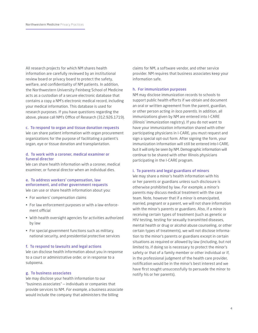All research projects for which NM shares health information are carefully reviewed by an institutional review board or privacy board to protect the safety, welfare, and confidentiality of NM patients. In addition, the Northwestern University Feinberg School of Medicine acts as a custodian of a secure electronic database that contains a copy a NM's electronic medical record, including your medical information. This database is used for research purposes. If you have questions regarding the above, please call NM's Office of Research (312.926.1719).

#### c. To respond to organ and tissue donation requests

We can share patient information with organ procurement organizations for the purpose of facilitating a patient's organ, eye or tissue donation and transplantation.

#### d. To work with a coroner, medical examiner or funeral director

We can share health information with a coroner, medical examiner, or funeral director when an individual dies.

#### e. To address workers' compensation, law enforcement, and other government requests

We can use or share health information about you:

- For workers' compensation claims
- For law enforcement purposes or with a law enforcement official
- With health oversight agencies for activities authorized by law
- For special government functions such as military, national security, and presidential protective services

#### f. To respond to lawsuits and legal actions

We can disclose health information about you in response to a court or administrative order, or in response to a subpoena.

#### g. To business associates

We may disclose your health information to our "business associates" — individuals or companies that provide services to NM. *For example*, a business associate would include the company that administers the billing

claims for NM, a software vendor, and other service provider. NM requires that business associates keep your information safe.

#### h. For immunization purposes

NM may disclose immunization records to schools to support public health efforts if we obtain and document an oral or written agreement from the parent, guardian, or other person acting *in loco parentis*. In addition, all immunizations given by NM are entered into I-CARE (Illinois' immunization registry). If you do not want to have your immunization information shared with other participating physicians in I-CARE, you must request and sign a special opt-out form. After signing the form, your immunization information will still be entered into I-CARE, but it will only be seen by NM. Demographic information will continue to be shared with other Illinois physicians participating in the I-CARE program.

#### i. To parents and legal guardians of minors

We may share a minor's health information with his or her parents or guardians unless such disclosure is otherwise prohibited by law. *For example*, a minor's parents may discuss medical treatment with the care team. Note, however that if a minor is emancipated, married, pregnant or a parent, we will not share information with the minor's parents or guardians. Also, if a minor is receiving certain types of treatment (such as genetic or HIV testing, testing for sexually transmitted diseases, mental health or drug or alcohol abuse counseling, or other certain types of treatments), we will not disclose information to the minor's parents or guardians except in certain situations as required or allowed by law (including, but not limited to, if doing so is necessary to protect the minor's safety or that of a family member or other individual or if, in the professional judgment of the health care provider, notification would be in the minor's best interest and we have first sought unsuccessfully to persuade the minor to notify his or her parents).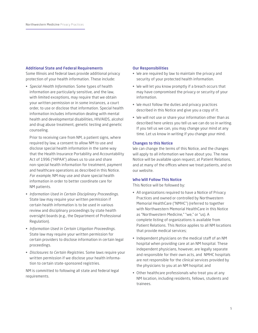#### Additional State and Federal Requirements

Some Illinois and federal laws provide additional privacy protection of your health information. These include:

• *Special Health Information*. Some types of health information are particularly sensitive, and the law, with limited exceptions, may require that we obtain your written permission or in some instances, a court order, to use or disclose that information. Special health information includes information dealing with mental health and developmental disabilities, HIV/AIDS, alcohol and drug abuse treatment, genetic testing and genetic counseling.

Prior to receiving care from NM, a patient signs, where required by law, a consent to allow NM to use and disclose special health information in the same way that the Health Insurance Portability and Accountability Act of 1996 ("HIPAA") allows us to use and share non-special health information for treatment, payment and healthcare operations as described in this Notice. *For example*, NM may use and share special health information in order to better coordinate care for NM patients.

- *Information Used in Certain Disciplinary Proceedings.*  State law may require your written permission if certain health information is to be used in various review and disciplinary proceedings by state health oversight boards (e.g., the Department of Professional Regulation).
- *Information Used in Certain Litigation Proceedings.* State law may require your written permission for certain providers to disclose information in certain legal proceedings.
- *Disclosures to Certain Registries.* Some laws require your written permission if we disclose your health information to certain state-sponsored registries.

NM is committed to following all state and federal legal requirements.

#### Our Responsibilities

- We are required by law to maintain the privacy and security of your protected health information.
- We will let you know promptly if a breach occurs that may have compromised the privacy or security of your information.
- We must follow the duties and privacy practices described in this Notice and give you a copy of it.
- We will not use or share your information other than as described here unless you tell us we can do so in writing. If you tell us we can, you may change your mind at any time. Let us know in writing if you change your mind.

#### Changes to this Notice

We can change the terms of this Notice, and the changes will apply to all information we have about you. The new Notice will be available upon request, at Patient Relations, and at many of the offices where we treat patients, and on our website.

#### Who Will Follow This Notice

This Notice will be followed by:

- All organizations required to have a Notice of Privacy Practices and owned or controlled by Northwestern Memorial HealthCare ("NMHC") (referred to together with Northwestern Memorial HealthCare in this Notice as "Northwestern Medicine," "we," or "us). A complete listing of organizations is available from Patient Relations. This Notice applies to all NM locations that provide medical services;
- Independent physicians on the medical staff of an NM hospital when providing care at an NM hospital. These independent physicians, however, are legally separate and responsible for their own acts, and NMHC hospitals are not responsible for the clinical services provided by the physicians to you at an NM hospital; and
- Other healthcare professionals who treat you at any NM location, including residents, fellows, students and trainees.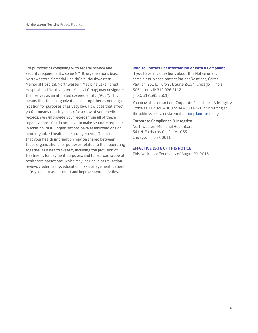For purposes of complying with federal privacy and security requirements, some NMHC organizations (e.g., Northwestern Memorial HealthCare, Northwestern Memorial Hospital, Northwestern Medicine Lake Forest Hospital, and Northwestern Medical Group) may designate themselves as an affiliated covered entity ("ACE"). This means that these organizations act together as one organization for purposes of privacy law. How does that affect you? It means that if you ask for a copy of your medical records, we will provide your records from all of these organizations. You do not have to make separate requests. In addition, NMHC organizations have established one or more organized health care arrangements. This means that your health information may be shared between these organizations for purposes related to their operating together as a health system, including the provision of treatment, for payment purposes, and for a broad scope of healthcare operations, which may include joint utilization review, credentialing, education, risk management, patient safety, quality assessment and improvement activities.

#### Who To Contact For Information or With a Complaint

If you have any questions about this Notice or any complaints, please contact Patient Relations, Galter Pavilion, 251 E. Huron St, Suite 2-154, Chicago, Illinois 60611 or call: 312.926.3112 (TDD: 312.695.3661).

You may also contact our Corporate Compliance & Integrity Office at 312.926.4800 or 844.339.6271, or in writing at the address below or via email at compliance@nm.org

#### Corporate Compliance & Integrity

Northwestern Memorial HealthCare 541 N. Fairbanks Ct., Suite 1065 Chicago, Illinois 60611

#### EFFECTIVE DATE OF THIS NOTICE

This Notice is effective as of August 29, 2016.